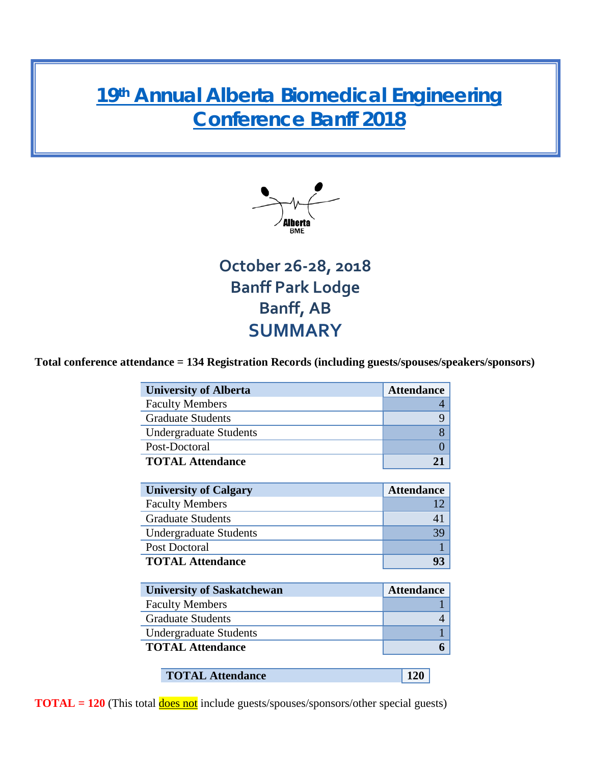# **19th [Annual Alberta Biomedical Engineering](https://www.ucalgary.ca/bme/graduate/ab-bme-conference/2018-alberta-biomedical-engineering-conference)  [Conference Banff 2018](https://www.ucalgary.ca/bme/graduate/ab-bme-conference/2018-alberta-biomedical-engineering-conference)**



**October 26-28, 2018 Banff Park Lodge Banff, AB SUMMARY**

#### **Total conference attendance = 134 Registration Records (including guests/spouses/speakers/sponsors)**

| <b>University of Alberta</b>      | <b>Attendance</b> |
|-----------------------------------|-------------------|
| <b>Faculty Members</b>            | 4                 |
| <b>Graduate Students</b>          | 9                 |
| <b>Undergraduate Students</b>     | 8                 |
| Post-Doctoral                     | $\mathbf{0}$      |
| <b>TOTAL Attendance</b>           | 21                |
|                                   |                   |
| <b>University of Calgary</b>      | <b>Attendance</b> |
| <b>Faculty Members</b>            | 12                |
| <b>Graduate Students</b>          | 41                |
| <b>Undergraduate Students</b>     | 39                |
| Post Doctoral                     |                   |
| <b>TOTAL Attendance</b>           | 93                |
|                                   |                   |
| <b>University of Saskatchewan</b> | <b>Attendance</b> |
| <b>Faculty Members</b>            |                   |
| <b>Graduate Students</b>          | 4                 |

| <b>Undergraduate Students</b> |     |  |
|-------------------------------|-----|--|
| <b>TOTAL Attendance</b>       |     |  |
|                               |     |  |
| <b>TOTAL Attendance</b>       | 120 |  |

**TOTAL = 120** (This total **does not** include guests/spouses/sponsors/other special guests)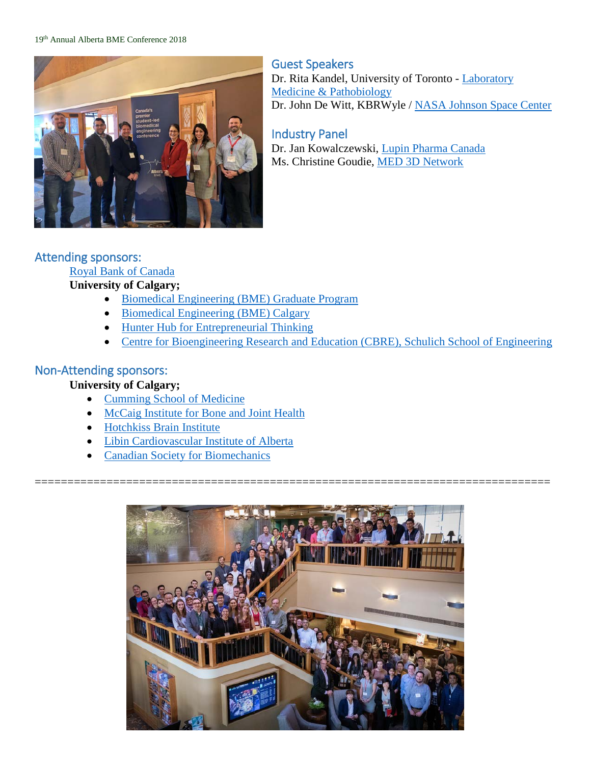#### 19th Annual Alberta BME Conference 2018



Guest Speakers Dr. Rita Kandel, University of Toronto - Laboratory [Medicine & Pathobiology](http://www.lmp.utoronto.ca/) Dr. John De Witt, KBRWyle / [NASA Johnson Space Center](https://www.nasa.gov/)

#### Industry Panel

Dr. Jan Kowalczewski, [Lupin Pharma Canada](http://www.lupinpharma.ca/#welcome) Ms. Christine Goudie, [MED 3D Network](https://www.munmed3dnetwork.ca/)

#### Attending sponsors:

#### [Royal Bank of Canada](https://www.rbcroyalbank.com/personal.html)

#### **University of Calgary;**

- [Biomedical Engineering \(BME\)](https://www.ucalgary.ca/bme/) Graduate Program
- [Biomedical Engineering \(BME\)](https://www.ucalgary.ca/bme/) Calgary
- [Hunter Hub for Entrepreneurial Thinking](https://www.ucalgary.ca/hunter-hub/about)
- [Centre for Bioengineering Research and Education \(CBRE\), Schulich School of Engineering](https://www.ucalgary.ca/bme/research-groups/centre-bioengineering-research-and-education-cbre)

#### Non-Attending sponsors:

#### **University of Calgary;**

- [Cumming School of Medicine](https://cumming.ucalgary.ca/)
- [McCaig Institute for Bone and Joint Health](https://mccaig.ucalgary.ca/)
- [Hotchkiss Brain Institute](https://hbi.ucalgary.ca/)
- [Libin Cardiovascular Institute of Alberta](https://libin.ucalgary.ca/)
- [Canadian Society for Biomechanics](https://csb-scb.com/)



===============================================================================